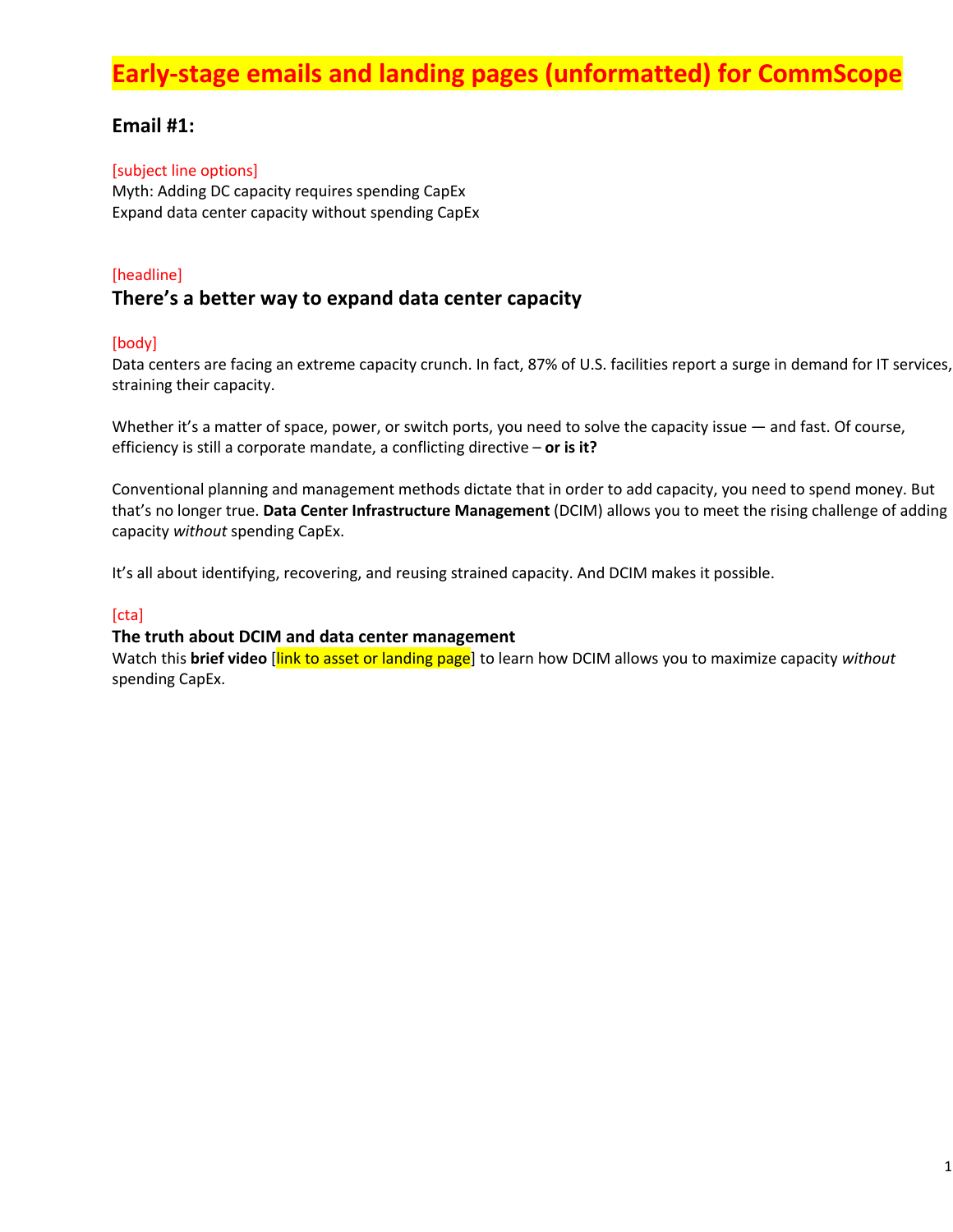## **Email #1:**

### [subject line options]

Myth: Adding DC capacity requires spending CapEx Expand data center capacity without spending CapEx

### [headline]

## **There's a better way to expand data center capacity**

#### [body]

Data centers are facing an extreme capacity crunch. In fact, 87% of U.S. facilities report a surge in demand for IT services, straining their capacity.

Whether it's a matter of space, power, or switch ports, you need to solve the capacity issue — and fast. Of course, efficiency is still a corporate mandate, a conflicting directive – **or is it?**

Conventional planning and management methods dictate that in order to add capacity, you need to spend money. But that's no longer true. **Data Center Infrastructure Management** (DCIM) allows you to meet the rising challenge of adding capacity *without* spending CapEx.

It's all about identifying, recovering, and reusing strained capacity. And DCIM makes it possible.

### [cta]

#### **The truth about DCIM and data center management**

Watch this **brief video** [link to asset or landing page] to learn how DCIM allows you to maximize capacity *without* spending CapEx.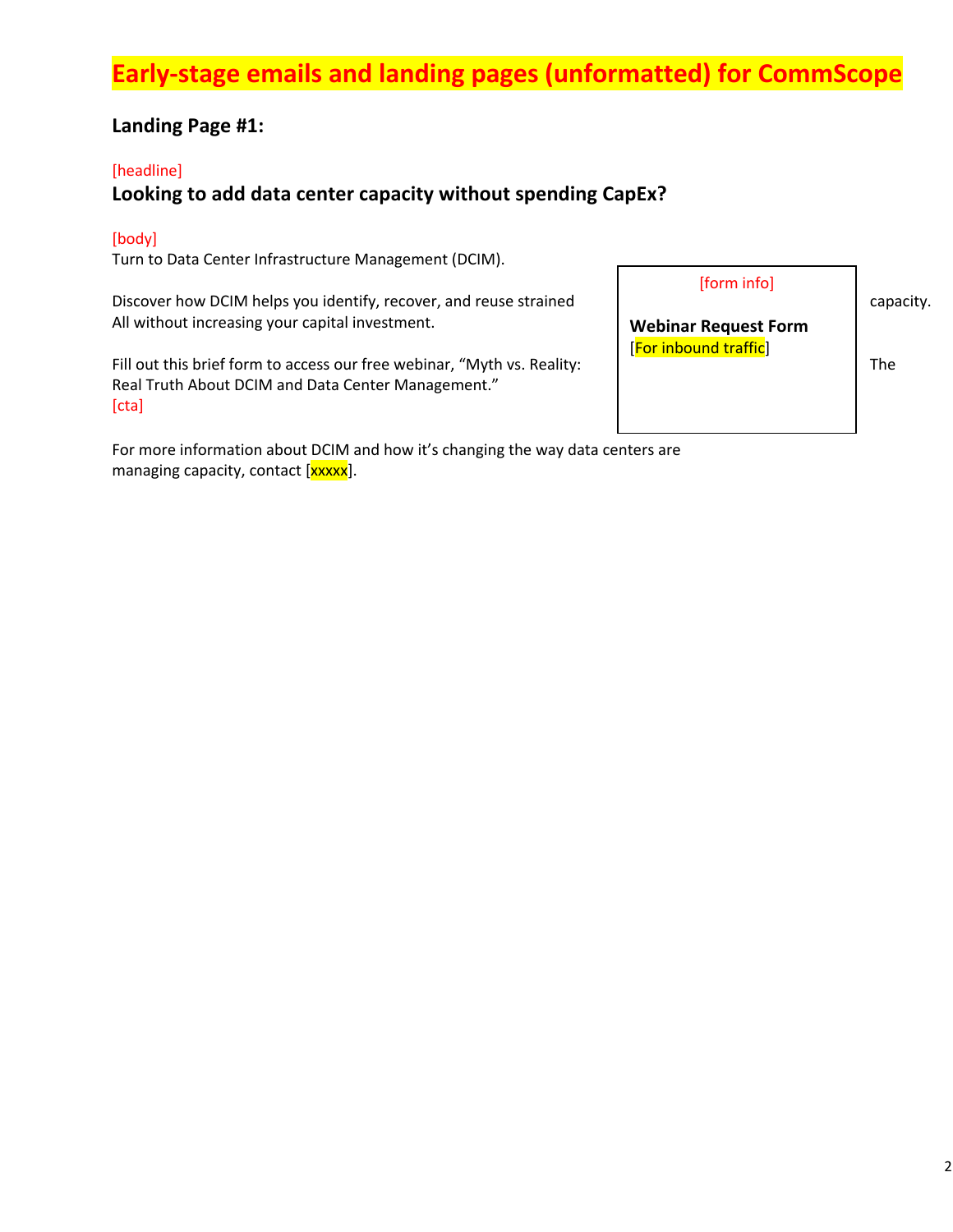## **Landing Page #1:**

#### [headline]

## **Looking to add data center capacity without spending CapEx?**

#### [body]

Turn to Data Center Infrastructure Management (DCIM).

Discover how DCIM helps you identify, recover, and reuse strained All without increasing your capital investment.

Fill out this brief form to access our free webinar, "Myth vs. Reality: Real Truth About DCIM and Data Center Management." [cta]

For more information about DCIM and how it's changing the way data centers are managing capacity, contact [xxxxx].

| [form info]                                          | capacity. |
|------------------------------------------------------|-----------|
| <b>Webinar Request Form</b><br>[For inbound traffic] | The       |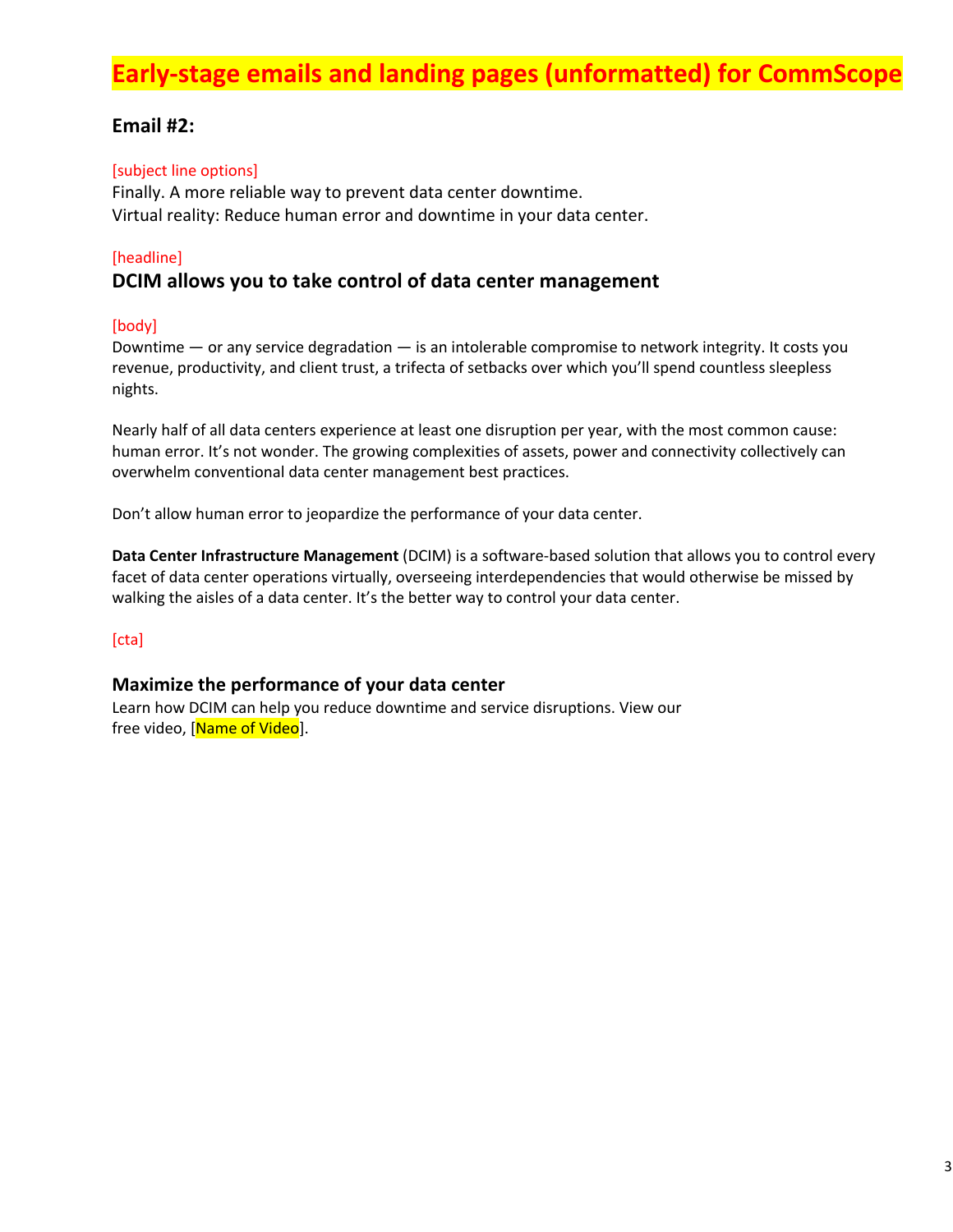## **Email #2:**

#### [subject line options]

Finally. A more reliable way to prevent data center downtime. Virtual reality: Reduce human error and downtime in your data center.

#### [headline]

## **DCIM allows you to take control of data center management**

#### [body]

Downtime — or any service degradation — is an intolerable compromise to network integrity. It costs you revenue, productivity, and client trust, a trifecta of setbacks over which you'll spend countless sleepless nights.

Nearly half of all data centers experience at least one disruption per year, with the most common cause: human error. It's not wonder. The growing complexities of assets, power and connectivity collectively can overwhelm conventional data center management best practices.

Don't allow human error to jeopardize the performance of your data center.

**Data Center Infrastructure Management** (DCIM) is a software-based solution that allows you to control every facet of data center operations virtually, overseeing interdependencies that would otherwise be missed by walking the aisles of a data center. It's the better way to control your data center.

#### [cta]

#### **Maximize the performance of your data center**

Learn how DCIM can help you reduce downtime and service disruptions. View our free video, [Name of Video].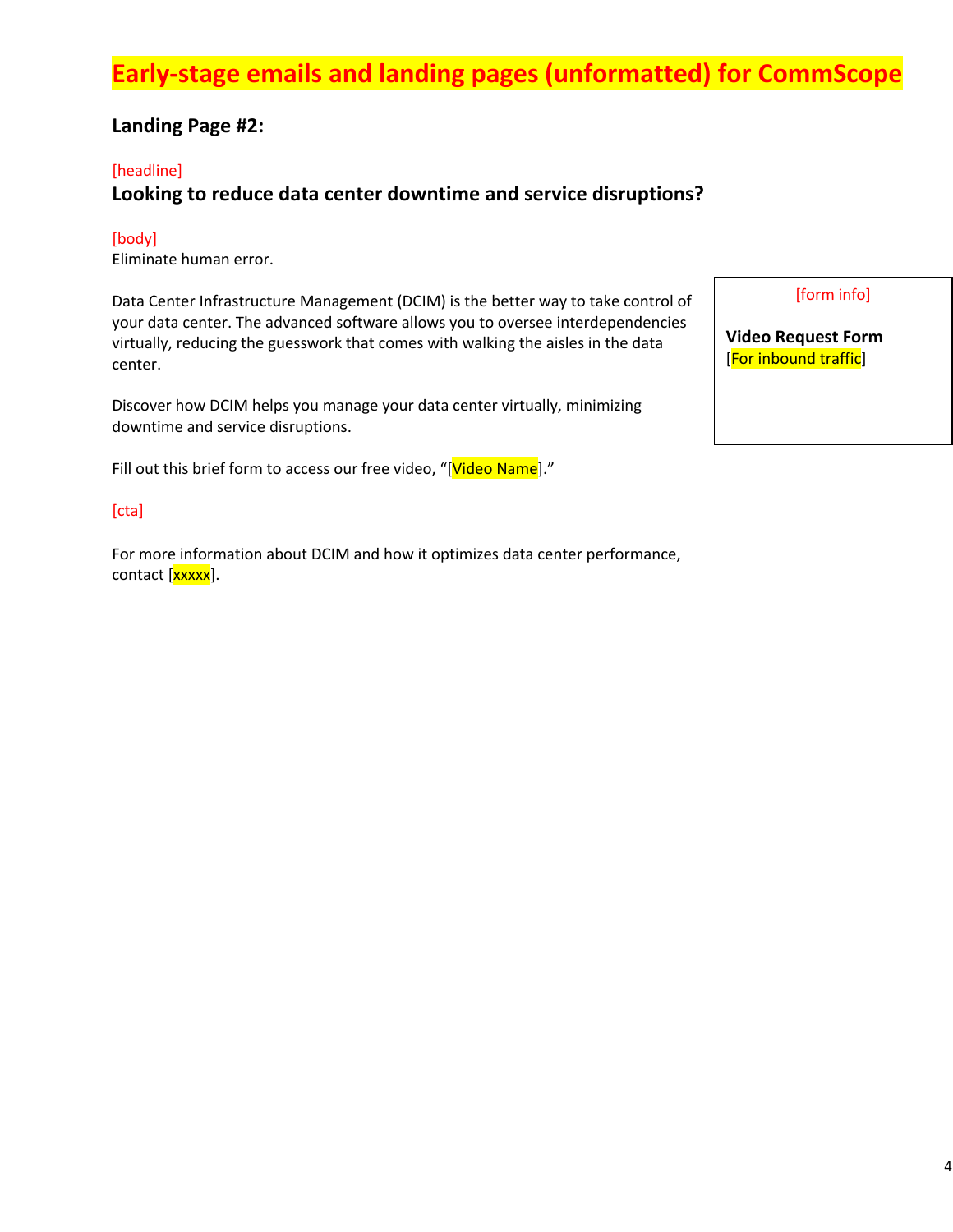## **Landing Page #2:**

#### [headline]

## **Looking to reduce data center downtime and service disruptions?**

#### [body]

Eliminate human error.

Data Center Infrastructure Management (DCIM) is the better way to take control of your data center. The advanced software allows you to oversee interdependencies virtually, reducing the guesswork that comes with walking the aisles in the data center.

Discover how DCIM helps you manage your data center virtually, minimizing downtime and service disruptions.

Fill out this brief form to access our free video, "[Video Name]."

#### [cta]

For more information about DCIM and how it optimizes data center performance, contact [xxxxx].

#### [form info]

**Video Request Form** [For inbound traffic]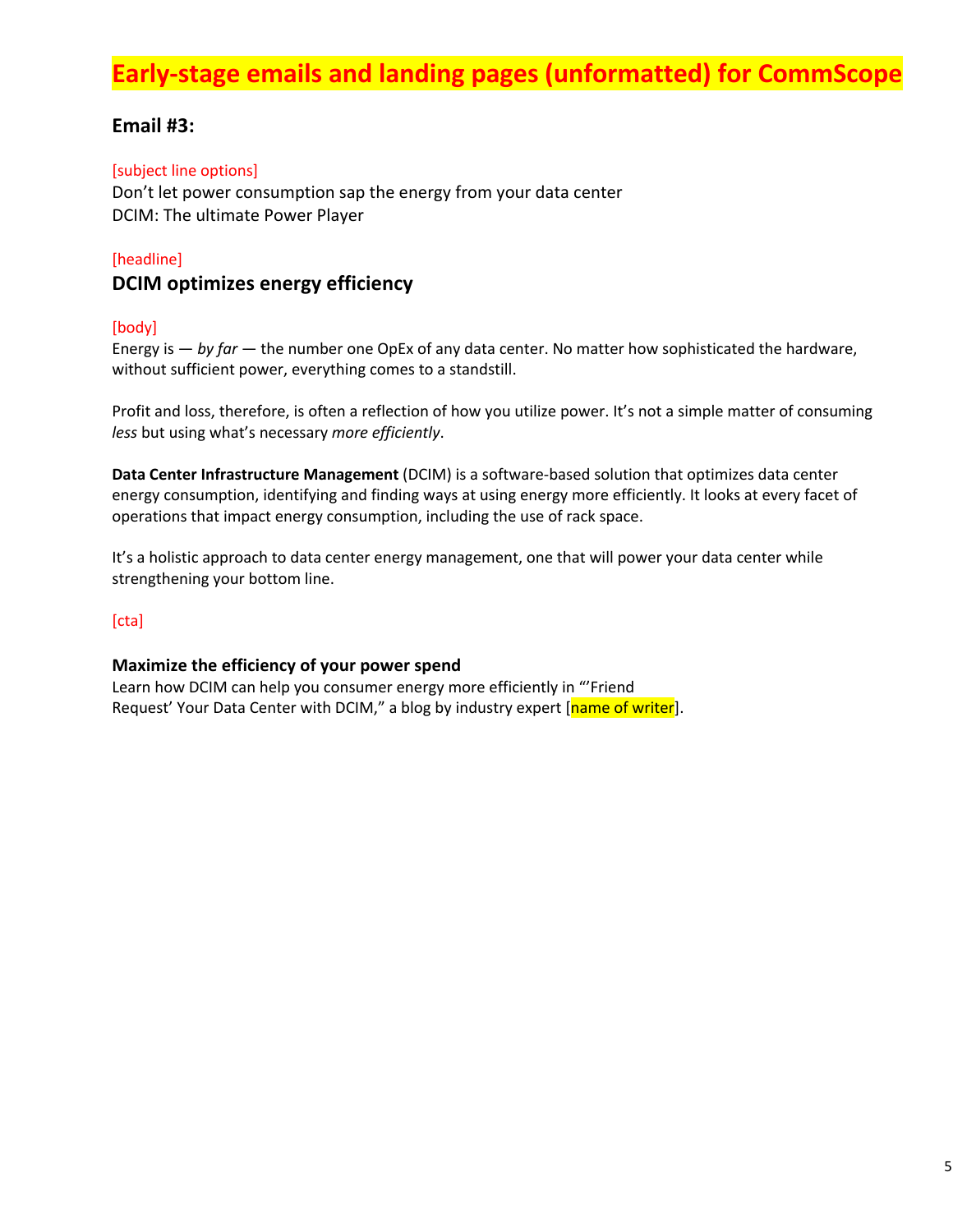## **Email #3:**

#### [subject line options]

Don't let power consumption sap the energy from your data center DCIM: The ultimate Power Player

#### [headline]

### **DCIM optimizes energy efficiency**

#### [body]

Energy is — *by far* — the number one OpEx of any data center. No matter how sophisticated the hardware, without sufficient power, everything comes to a standstill.

Profit and loss, therefore, is often a reflection of how you utilize power. It's not a simple matter of consuming *less* but using what's necessary *more efficiently*.

**Data Center Infrastructure Management** (DCIM) is a software-based solution that optimizes data center energy consumption, identifying and finding ways at using energy more efficiently. It looks at every facet of operations that impact energy consumption, including the use of rack space.

It's a holistic approach to data center energy management, one that will power your data center while strengthening your bottom line.

### [cta]

#### **Maximize the efficiency of your power spend**

Learn how DCIM can help you consumer energy more efficiently in "'Friend Request' Your Data Center with DCIM," a blog by industry expert [name of writer].